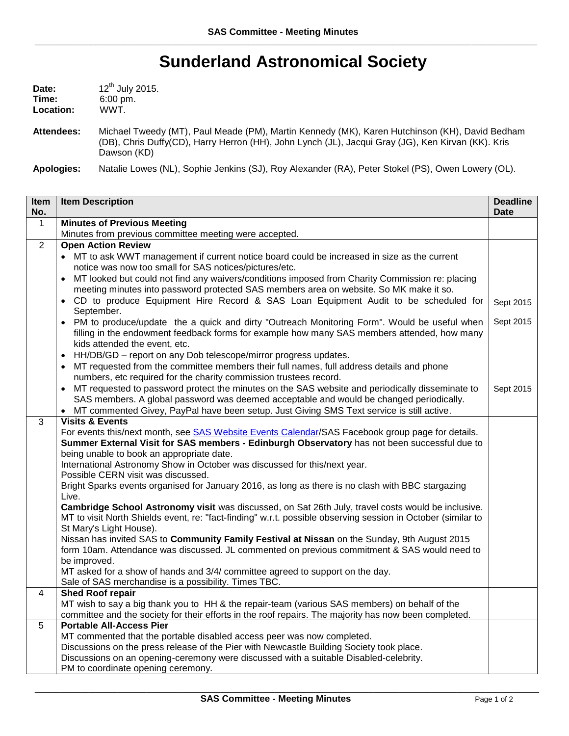## **Sunderland Astronomical Society**

| Date:     | 12 <sup>th</sup> July 2015. |
|-----------|-----------------------------|
| Time:     | $6:00 \text{ pm}$ .         |
| Location: | WWT.                        |

**Attendees:** Michael Tweedy (MT), Paul Meade (PM), Martin Kennedy (MK), Karen Hutchinson (KH), David Bedham (DB), Chris Duffy(CD), Harry Herron (HH), John Lynch (JL), Jacqui Gray (JG), Ken Kirvan (KK). Kris Dawson (KD)

**Apologies:** Natalie Lowes (NL), Sophie Jenkins (SJ), Roy Alexander (RA), Peter Stokel (PS), Owen Lowery (OL).

| Item               | <b>Item Description</b>                                                                                                                                                                                                     | <b>Deadline</b><br><b>Date</b> |
|--------------------|-----------------------------------------------------------------------------------------------------------------------------------------------------------------------------------------------------------------------------|--------------------------------|
| No.<br>$\mathbf 1$ | <b>Minutes of Previous Meeting</b>                                                                                                                                                                                          |                                |
|                    | Minutes from previous committee meeting were accepted.                                                                                                                                                                      |                                |
| $\overline{2}$     | <b>Open Action Review</b>                                                                                                                                                                                                   |                                |
|                    | • MT to ask WWT management if current notice board could be increased in size as the current<br>notice was now too small for SAS notices/pictures/etc.                                                                      |                                |
|                    | MT looked but could not find any waivers/conditions imposed from Charity Commission re: placing<br>meeting minutes into password protected SAS members area on website. So MK make it so.                                   |                                |
|                    | • CD to produce Equipment Hire Record & SAS Loan Equipment Audit to be scheduled for<br>September.                                                                                                                          | Sept 2015                      |
|                    | PM to produce/update the a quick and dirty "Outreach Monitoring Form". Would be useful when<br>filling in the endowment feedback forms for example how many SAS members attended, how many<br>kids attended the event, etc. | Sept 2015                      |
|                    | HH/DB/GD - report on any Dob telescope/mirror progress updates.<br>$\bullet$                                                                                                                                                |                                |
|                    | MT requested from the committee members their full names, full address details and phone<br>numbers, etc required for the charity commission trustees record.                                                               |                                |
|                    | MT requested to password protect the minutes on the SAS website and periodically disseminate to<br>SAS members. A global password was deemed acceptable and would be changed periodically.                                  | Sept 2015                      |
|                    | MT commented Givey, PayPal have been setup. Just Giving SMS Text service is still active.<br>$\bullet$                                                                                                                      |                                |
| 3                  | <b>Visits &amp; Events</b>                                                                                                                                                                                                  |                                |
|                    | For events this/next month, see SAS Website Events Calendar/SAS Facebook group page for details.                                                                                                                            |                                |
|                    | Summer External Visit for SAS members - Edinburgh Observatory has not been successful due to<br>being unable to book an appropriate date.                                                                                   |                                |
|                    | International Astronomy Show in October was discussed for this/next year.<br>Possible CERN visit was discussed.                                                                                                             |                                |
|                    | Bright Sparks events organised for January 2016, as long as there is no clash with BBC stargazing<br>Live.                                                                                                                  |                                |
|                    | Cambridge School Astronomy visit was discussed, on Sat 26th July, travel costs would be inclusive.                                                                                                                          |                                |
|                    | MT to visit North Shields event, re: "fact-finding" w.r.t. possible observing session in October (similar to                                                                                                                |                                |
|                    | St Mary's Light House).                                                                                                                                                                                                     |                                |
|                    | Nissan has invited SAS to Community Family Festival at Nissan on the Sunday, 9th August 2015                                                                                                                                |                                |
|                    | form 10am. Attendance was discussed. JL commented on previous commitment & SAS would need to<br>be improved.                                                                                                                |                                |
|                    | MT asked for a show of hands and 3/4/ committee agreed to support on the day.                                                                                                                                               |                                |
|                    | Sale of SAS merchandise is a possibility. Times TBC.                                                                                                                                                                        |                                |
| 4                  | <b>Shed Roof repair</b>                                                                                                                                                                                                     |                                |
|                    | MT wish to say a big thank you to HH & the repair-team (various SAS members) on behalf of the                                                                                                                               |                                |
|                    | committee and the society for their efforts in the roof repairs. The majority has now been completed.                                                                                                                       |                                |
| 5                  | <b>Portable All-Access Pier</b>                                                                                                                                                                                             |                                |
|                    | MT commented that the portable disabled access peer was now completed.                                                                                                                                                      |                                |
|                    | Discussions on the press release of the Pier with Newcastle Building Society took place.<br>Discussions on an opening-ceremony were discussed with a suitable Disabled-celebrity.                                           |                                |
|                    | PM to coordinate opening ceremony.                                                                                                                                                                                          |                                |
|                    |                                                                                                                                                                                                                             |                                |

\_\_\_\_\_\_\_\_\_\_\_\_\_\_\_\_\_\_\_\_\_\_\_\_\_\_\_\_\_\_\_\_\_\_\_\_\_\_\_\_\_\_\_\_\_\_\_\_\_\_\_\_\_\_\_\_\_\_\_\_\_\_\_\_\_\_\_\_\_\_\_\_\_\_\_\_\_\_\_\_\_\_\_\_\_\_\_\_\_\_\_\_\_\_\_\_\_\_\_\_\_\_\_\_\_\_\_\_\_\_\_\_\_\_\_\_\_\_\_\_\_\_